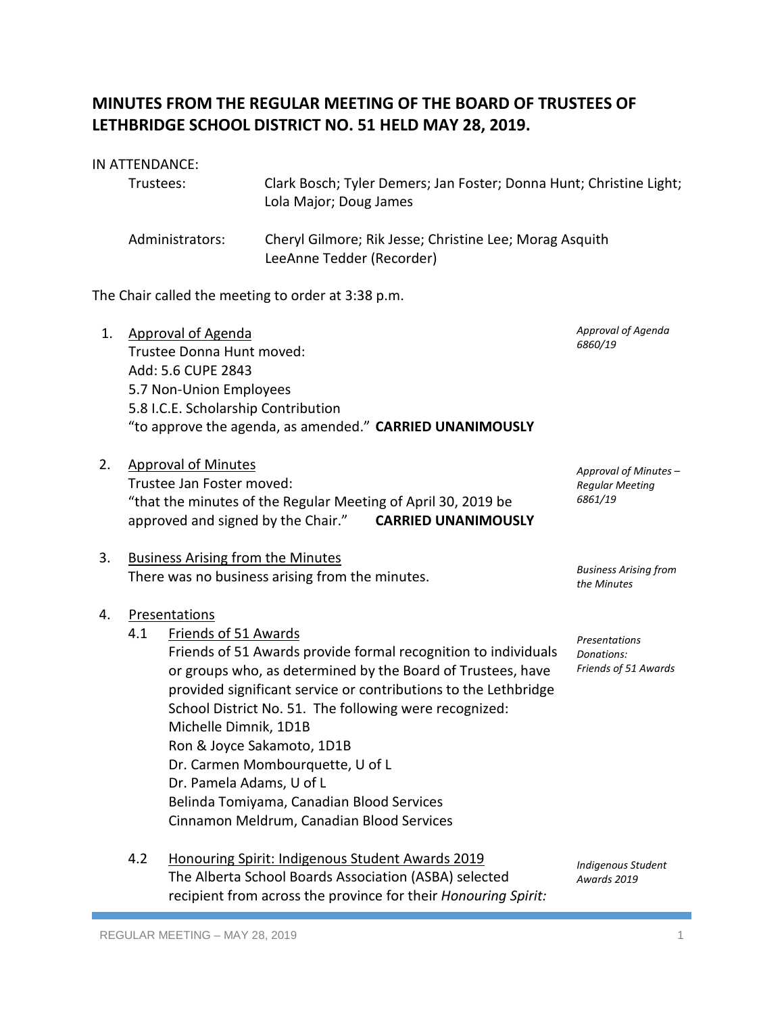# **MINUTES FROM THE REGULAR MEETING OF THE BOARD OF TRUSTEES OF LETHBRIDGE SCHOOL DISTRICT NO. 51 HELD MAY 28, 2019.**

### IN ATTENDANCE:

| Trustees:       | Clark Bosch; Tyler Demers; Jan Foster; Donna Hunt; Christine Light;<br>Lola Major; Doug James |
|-----------------|-----------------------------------------------------------------------------------------------|
| Administrators: | Cheryl Gilmore; Rik Jesse; Christine Lee; Morag Asquith<br>LeeAnne Tedder (Recorder)          |

The Chair called the meeting to order at 3:38 p.m.

| 1. | <b>Approval of Agenda</b><br>Trustee Donna Hunt moved:                                                                  | Approval of Agenda<br>6860/19               |
|----|-------------------------------------------------------------------------------------------------------------------------|---------------------------------------------|
|    | Add: 5.6 CUPE 2843                                                                                                      |                                             |
|    | 5.7 Non-Union Employees                                                                                                 |                                             |
|    | 5.8 I.C.E. Scholarship Contribution                                                                                     |                                             |
|    | "to approve the agenda, as amended." CARRIED UNANIMOUSLY                                                                |                                             |
| 2. | <b>Approval of Minutes</b>                                                                                              | Approval of Minutes -                       |
|    | Trustee Jan Foster moved:                                                                                               | <b>Regular Meeting</b><br>6861/19           |
|    | "that the minutes of the Regular Meeting of April 30, 2019 be<br>approved and signed by the Chair." CARRIED UNANIMOUSLY |                                             |
|    |                                                                                                                         |                                             |
| 3. | <b>Business Arising from the Minutes</b>                                                                                |                                             |
|    | There was no business arising from the minutes.                                                                         | <b>Business Arising from</b><br>the Minutes |
| 4. | Presentations                                                                                                           |                                             |
|    | 4.1<br>Friends of 51 Awards                                                                                             | Presentations                               |
|    | Friends of 51 Awards provide formal recognition to individuals                                                          | Donations:                                  |
|    | or groups who, as determined by the Board of Trustees, have                                                             | Friends of 51 Awards                        |
|    | provided significant service or contributions to the Lethbridge                                                         |                                             |
|    | School District No. 51. The following were recognized:                                                                  |                                             |
|    | Michelle Dimnik, 1D1B                                                                                                   |                                             |
|    | Ron & Joyce Sakamoto, 1D1B                                                                                              |                                             |

- Dr. Carmen Mombourquette, U of L Dr. Pamela Adams, U of L Belinda Tomiyama, Canadian Blood Services Cinnamon Meldrum, Canadian Blood Services
- 4.2 Honouring Spirit: Indigenous Student Awards 2019 The Alberta School Boards Association (ASBA) selected recipient from across the province for their *Honouring Spirit:*

*Indigenous Student Awards 2019*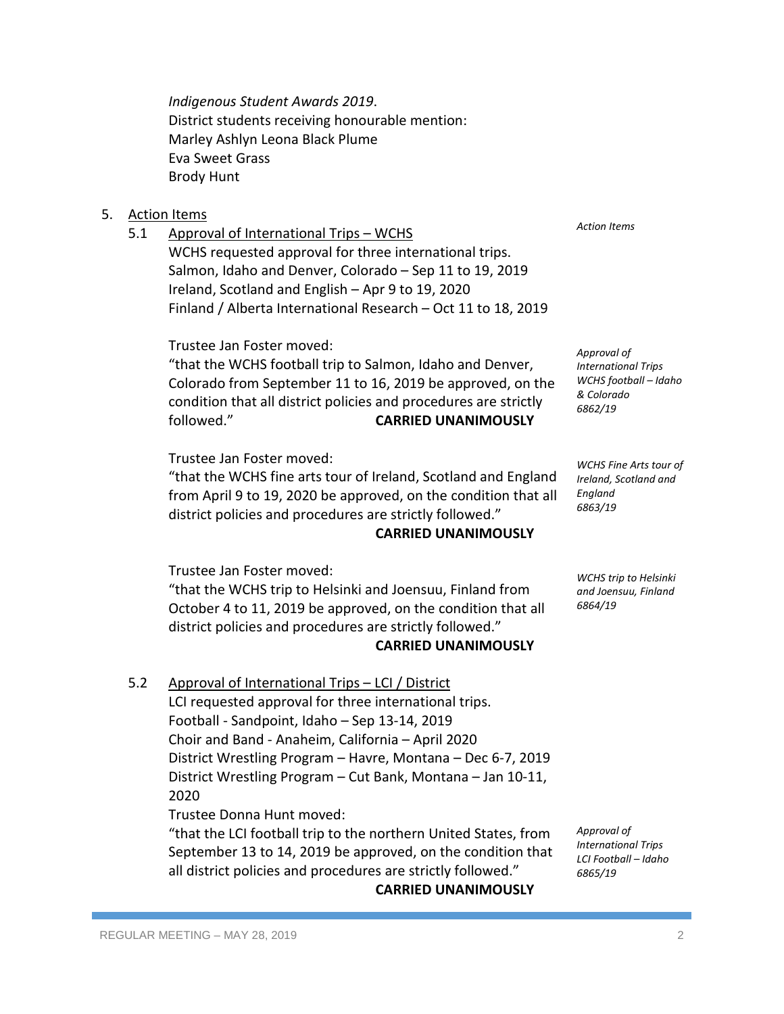*Indigenous Student Awards 2019*. District students receiving honourable mention: Marley Ashlyn Leona Black Plume Eva Sweet Grass Brody Hunt

#### 5. Action Items

5.1 Approval of International Trips – WCHS

WCHS requested approval for three international trips. Salmon, Idaho and Denver, Colorado – Sep 11 to 19, 2019 Ireland, Scotland and English – Apr 9 to 19, 2020 Finland / Alberta International Research – Oct 11 to 18, 2019

Trustee Jan Foster moved:

"that the WCHS football trip to Salmon, Idaho and Denver, Colorado from September 11 to 16, 2019 be approved, on the condition that all district policies and procedures are strictly followed." **CARRIED UNANIMOUSLY**

Trustee Jan Foster moved:

"that the WCHS fine arts tour of Ireland, Scotland and England from April 9 to 19, 2020 be approved, on the condition that all district policies and procedures are strictly followed."

#### **CARRIED UNANIMOUSLY**

Trustee Jan Foster moved:

"that the WCHS trip to Helsinki and Joensuu, Finland from October 4 to 11, 2019 be approved, on the condition that all district policies and procedures are strictly followed."

#### **CARRIED UNANIMOUSLY**

5.2 Approval of International Trips – LCI / District LCI requested approval for three international trips. Football - Sandpoint, Idaho – Sep 13-14, 2019 Choir and Band - Anaheim, California – April 2020 District Wrestling Program – Havre, Montana – Dec 6-7, 2019 District Wrestling Program – Cut Bank, Montana – Jan 10-11, 2020 Trustee Donna Hunt moved:

"that the LCI football trip to the northern United States, from September 13 to 14, 2019 be approved, on the condition that all district policies and procedures are strictly followed."

**CARRIED UNANIMOUSLY**

*Action Items*

*Approval of International Trips WCHS football – Idaho & Colorado 6862/19*

*WCHS Fine Arts tour of Ireland, Scotland and England 6863/19*

*WCHS trip to Helsinki and Joensuu, Finland 6864/19*

*Approval of International Trips LCI Football – Idaho 6865/19*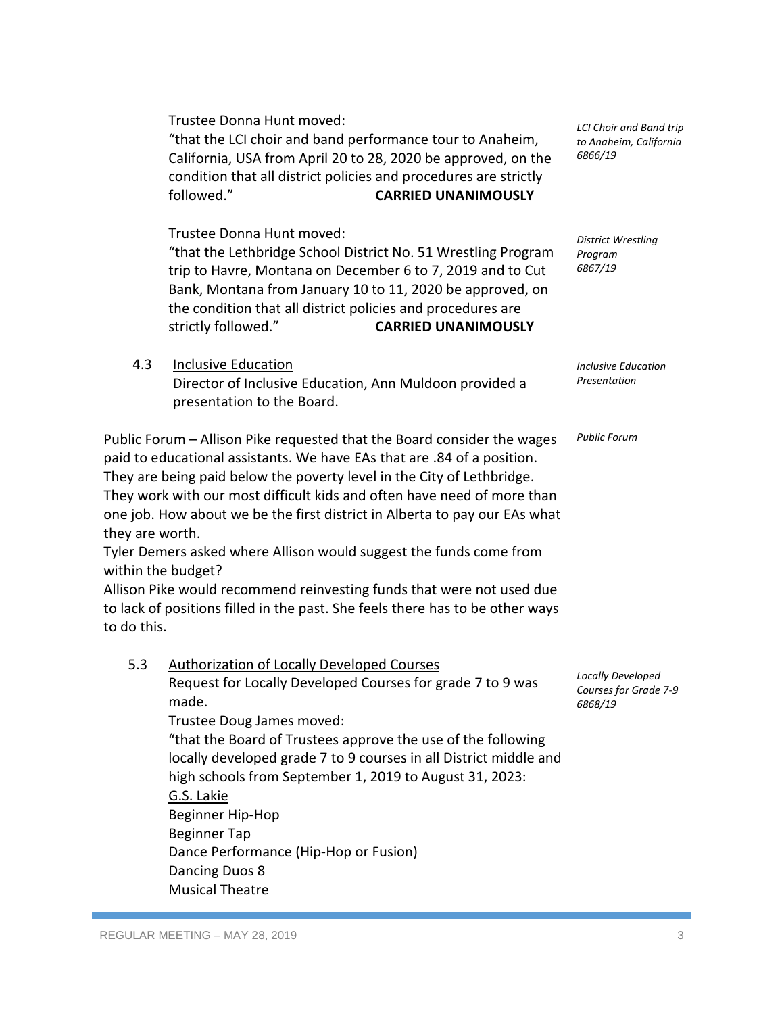REGULAR MEETING – MAY 28, 2019 3

Trustee Donna Hunt moved:

"that the LCI choir and band performance tour to Anaheim, California, USA from April 20 to 28, 2020 be approved, on the condition that all district policies and procedures are strictly followed." **CARRIED UNANIMOUSLY**

Trustee Donna Hunt moved:

"that the Lethbridge School District No. 51 Wrestling Program trip to Havre, Montana on December 6 to 7, 2019 and to Cut Bank, Montana from January 10 to 11, 2020 be approved, on the condition that all district policies and procedures are strictly followed." **CARRIED UNANIMOUSLY**

*LCI Choir and Band trip to Anaheim, California 6866/19*

*District Wrestling Program 6867/19*

*Inclusive Education Presentation*

*Public Forum*

*Locally Developed Courses for Grade 7-9 6868/19*

4.3 Inclusive Education

Director of Inclusive Education, Ann Muldoon provided a presentation to the Board.

paid to educational assistants. We have EAs that are .84 of a position. They are being paid below the poverty level in the City of Lethbridge. They work with our most difficult kids and often have need of more than one job. How about we be the first district in Alberta to pay our EAs what they are worth.

Public Forum – Allison Pike requested that the Board consider the wages

Tyler Demers asked where Allison would suggest the funds come from within the budget?

Allison Pike would recommend reinvesting funds that were not used due to lack of positions filled in the past. She feels there has to be other ways to do this.

5.3 Authorization of Locally Developed Courses

Request for Locally Developed Courses for grade 7 to 9 was made.

Trustee Doug James moved:

"that the Board of Trustees approve the use of the following locally developed grade 7 to 9 courses in all District middle and high schools from September 1, 2019 to August 31, 2023: G.S. Lakie

Beginner Hip-Hop Beginner Tap Dance Performance (Hip-Hop or Fusion) Dancing Duos 8 Musical Theatre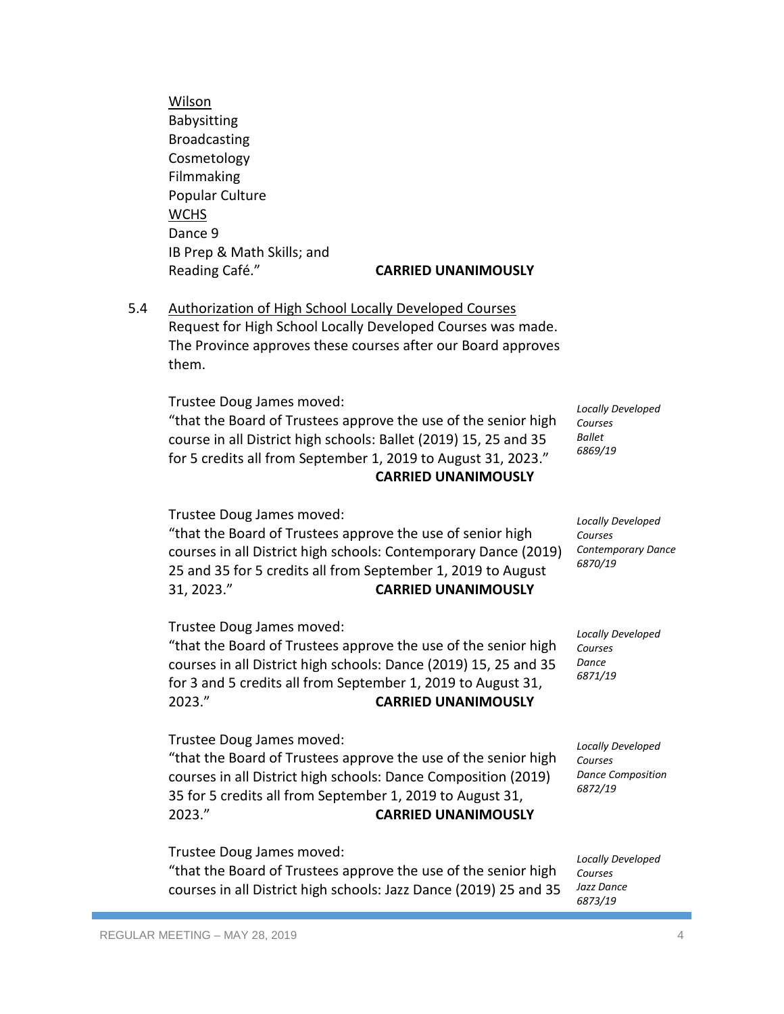Wilson Babysitting Broadcasting Cosmetology Filmmaking Popular Culture **WCHS** Dance 9 IB Prep & Math Skills; and Reading Café." **CARRIED UNANIMOUSLY**

# 5.4 Authorization of High School Locally Developed Courses Request for High School Locally Developed Courses was made. The Province approves these courses after our Board approves them.

Trustee Doug James moved:

"that the Board of Trustees approve the use of the senior high course in all District high schools: Ballet (2019) 15, 25 and 35 for 5 credits all from September 1, 2019 to August 31, 2023." **CARRIED UNANIMOUSLY**

Trustee Doug James moved:

"that the Board of Trustees approve the use of senior high courses in all District high schools: Contemporary Dance (2019) 25 and 35 for 5 credits all from September 1, 2019 to August 31, 2023." **CARRIED UNANIMOUSLY**

Trustee Doug James moved:

"that the Board of Trustees approve the use of the senior high courses in all District high schools: Dance (2019) 15, 25 and 35 for 3 and 5 credits all from September 1, 2019 to August 31, 2023." **CARRIED UNANIMOUSLY**

Trustee Doug James moved:

"that the Board of Trustees approve the use of the senior high courses in all District high schools: Dance Composition (2019) 35 for 5 credits all from September 1, 2019 to August 31, 2023." **CARRIED UNANIMOUSLY**

Trustee Doug James moved:

"that the Board of Trustees approve the use of the senior high courses in all District high schools: Jazz Dance (2019) 25 and 35

*Locally Developed Courses Ballet 6869/19*

*Locally Developed Courses Contemporary Dance 6870/19*

*Locally Developed Courses Dance 6871/19*

*Locally Developed Courses Dance Composition 6872/19*

*Locally Developed Courses Jazz Dance 6873/19*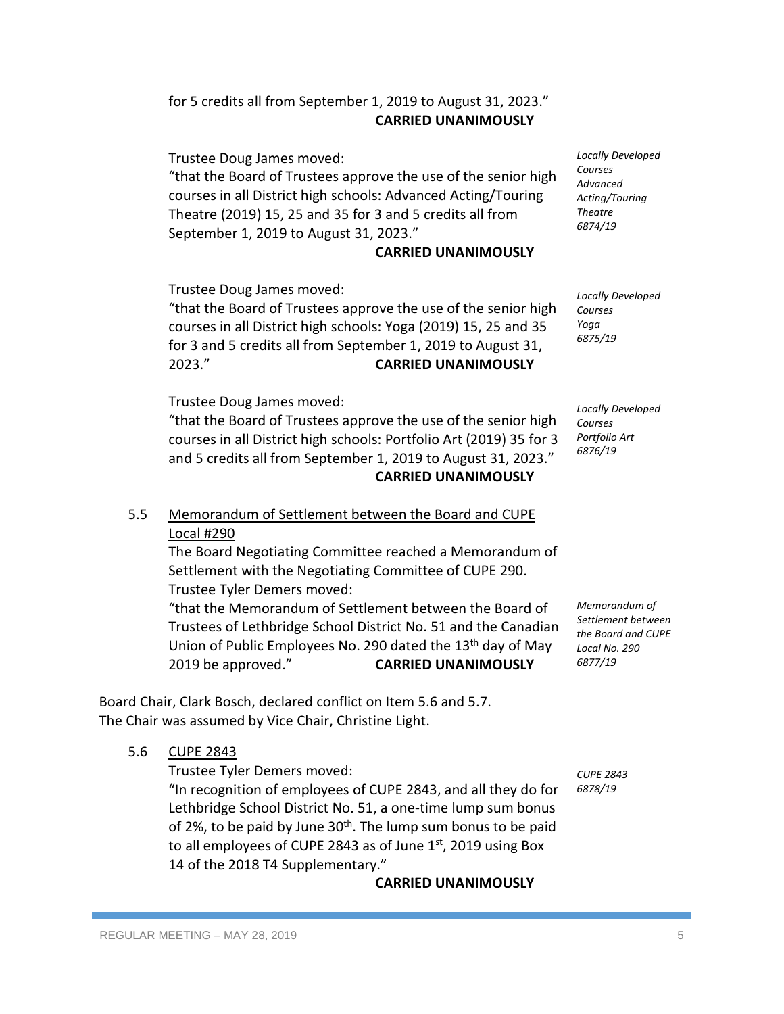## for 5 credits all from September 1, 2019 to August 31, 2023." **CARRIED UNANIMOUSLY**

Trustee Doug James moved: "that the Board of Trustees approve the use of the senior high courses in all District high schools: Advanced Acting/Touring Theatre (2019) 15, 25 and 35 for 3 and 5 credits all from September 1, 2019 to August 31, 2023."

### **CARRIED UNANIMOUSLY**

Trustee Doug James moved:

"that the Board of Trustees approve the use of the senior high courses in all District high schools: Yoga (2019) 15, 25 and 35 for 3 and 5 credits all from September 1, 2019 to August 31, 2023." **CARRIED UNANIMOUSLY**

Trustee Doug James moved:

"that the Board of Trustees approve the use of the senior high courses in all District high schools: Portfolio Art (2019) 35 for 3 and 5 credits all from September 1, 2019 to August 31, 2023." **CARRIED UNANIMOUSLY**

## 5.5 Memorandum of Settlement between the Board and CUPE Local #290

The Board Negotiating Committee reached a Memorandum of Settlement with the Negotiating Committee of CUPE 290. Trustee Tyler Demers moved:

"that the Memorandum of Settlement between the Board of Trustees of Lethbridge School District No. 51 and the Canadian Union of Public Employees No. 290 dated the 13<sup>th</sup> day of May 2019 be approved." **CARRIED UNANIMOUSLY**

Board Chair, Clark Bosch, declared conflict on Item 5.6 and 5.7. The Chair was assumed by Vice Chair, Christine Light.

5.6 CUPE 2843

Trustee Tyler Demers moved:

"In recognition of employees of CUPE 2843, and all they do for Lethbridge School District No. 51, a one-time lump sum bonus of 2%, to be paid by June  $30<sup>th</sup>$ . The lump sum bonus to be paid to all employees of CUPE 2843 as of June 1<sup>st</sup>, 2019 using Box 14 of the 2018 T4 Supplementary."

**CARRIED UNANIMOUSLY**

*Locally Developed Courses Advanced Acting/Touring Theatre 6874/19*

*Locally Developed Courses Yoga 6875/19*

*Locally Developed Courses Portfolio Art 6876/19*

*Memorandum of Settlement between the Board and CUPE Local No. 290 6877/19*

*CUPE 2843 6878/19*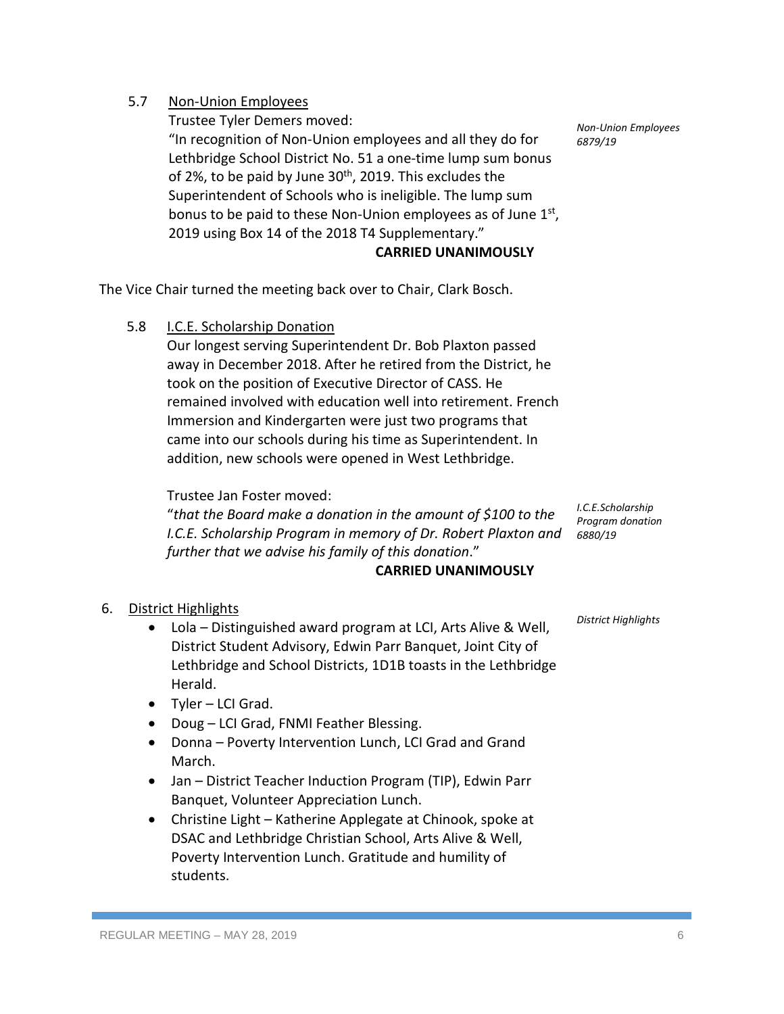# 5.7 Non-Union Employees

Trustee Tyler Demers moved:

"In recognition of Non-Union employees and all they do for Lethbridge School District No. 51 a one-time lump sum bonus of 2%, to be paid by June  $30<sup>th</sup>$ , 2019. This excludes the Superintendent of Schools who is ineligible. The lump sum bonus to be paid to these Non-Union employees as of June  $1<sup>st</sup>$ , 2019 using Box 14 of the 2018 T4 Supplementary."

**CARRIED UNANIMOUSLY**

The Vice Chair turned the meeting back over to Chair, Clark Bosch.

5.8 I.C.E. Scholarship Donation

Our longest serving Superintendent Dr. Bob Plaxton passed away in December 2018. After he retired from the District, he took on the position of Executive Director of CASS. He remained involved with education well into retirement. French Immersion and Kindergarten were just two programs that came into our schools during his time as Superintendent. In addition, new schools were opened in West Lethbridge.

Trustee Jan Foster moved:

"*that the Board make a donation in the amount of \$100 to the I.C.E. Scholarship Program in memory of Dr. Robert Plaxton and further that we advise his family of this donation*."

# **CARRIED UNANIMOUSLY**

6. District Highlights

- Lola Distinguished award program at LCI, Arts Alive & Well, District Student Advisory, Edwin Parr Banquet, Joint City of Lethbridge and School Districts, 1D1B toasts in the Lethbridge Herald.
- Tyler LCI Grad.
- Doug LCI Grad, FNMI Feather Blessing.
- Donna Poverty Intervention Lunch, LCI Grad and Grand March.
- Jan District Teacher Induction Program (TIP), Edwin Parr Banquet, Volunteer Appreciation Lunch.
- Christine Light Katherine Applegate at Chinook, spoke at DSAC and Lethbridge Christian School, Arts Alive & Well, Poverty Intervention Lunch. Gratitude and humility of students.

*Non-Union Employees 6879/19*

*I.C.E.Scholarship Program donation 6880/19*

*District Highlights*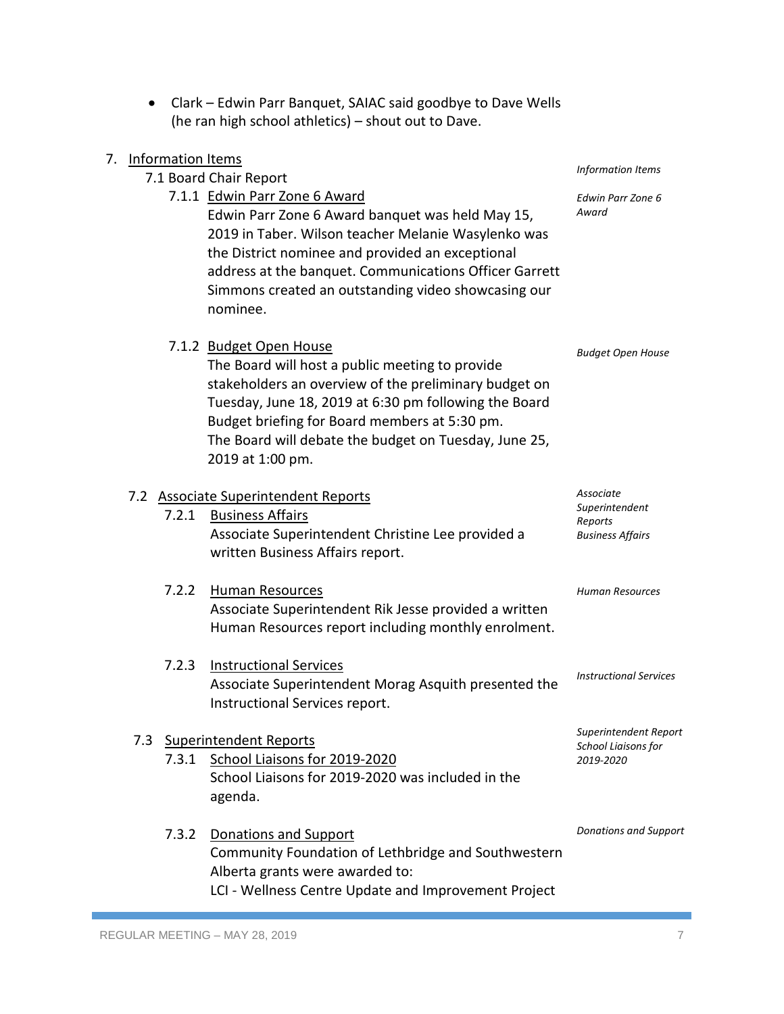| • Clark – Edwin Parr Banquet, SAIAC said goodbye to Dave Wells |
|----------------------------------------------------------------|
| (he ran high school athletics) – shout out to Dave.            |

|  | 7. Information Items |                                                                                                                                                                                                                                                                                                                            |                                                      |
|--|----------------------|----------------------------------------------------------------------------------------------------------------------------------------------------------------------------------------------------------------------------------------------------------------------------------------------------------------------------|------------------------------------------------------|
|  |                      | 7.1 Board Chair Report                                                                                                                                                                                                                                                                                                     | <b>Information Items</b>                             |
|  |                      | 7.1.1 Edwin Parr Zone 6 Award<br>Edwin Parr Zone 6 Award banquet was held May 15,<br>2019 in Taber. Wilson teacher Melanie Wasylenko was<br>the District nominee and provided an exceptional<br>address at the banquet. Communications Officer Garrett<br>Simmons created an outstanding video showcasing our<br>nominee.  | Edwin Parr Zone 6<br>Award                           |
|  |                      | 7.1.2 Budget Open House<br>The Board will host a public meeting to provide<br>stakeholders an overview of the preliminary budget on<br>Tuesday, June 18, 2019 at 6:30 pm following the Board<br>Budget briefing for Board members at 5:30 pm.<br>The Board will debate the budget on Tuesday, June 25,<br>2019 at 1:00 pm. | <b>Budget Open House</b>                             |
|  |                      | 7.2 Associate Superintendent Reports                                                                                                                                                                                                                                                                                       | Associate                                            |
|  | 7.2.1                | <b>Business Affairs</b><br>Associate Superintendent Christine Lee provided a<br>written Business Affairs report.                                                                                                                                                                                                           | Superintendent<br>Reports<br><b>Business Affairs</b> |
|  | 7.2.2                | <b>Human Resources</b><br>Associate Superintendent Rik Jesse provided a written<br>Human Resources report including monthly enrolment.                                                                                                                                                                                     | <b>Human Resources</b>                               |
|  | 7.2.3                | <b>Instructional Services</b><br>Associate Superintendent Morag Asquith presented the<br>Instructional Services report.                                                                                                                                                                                                    | <b>Instructional Services</b>                        |
|  | 7.3                  | <b>Superintendent Reports</b>                                                                                                                                                                                                                                                                                              | Superintendent Report                                |
|  | 7.3.1                | School Liaisons for 2019-2020<br>School Liaisons for 2019-2020 was included in the<br>agenda.                                                                                                                                                                                                                              | School Liaisons for<br>2019-2020                     |
|  | 7.3.2                | Donations and Support<br>Community Foundation of Lethbridge and Southwestern<br>Alberta grants were awarded to:<br>LCI - Wellness Centre Update and Improvement Project                                                                                                                                                    | <b>Donations and Support</b>                         |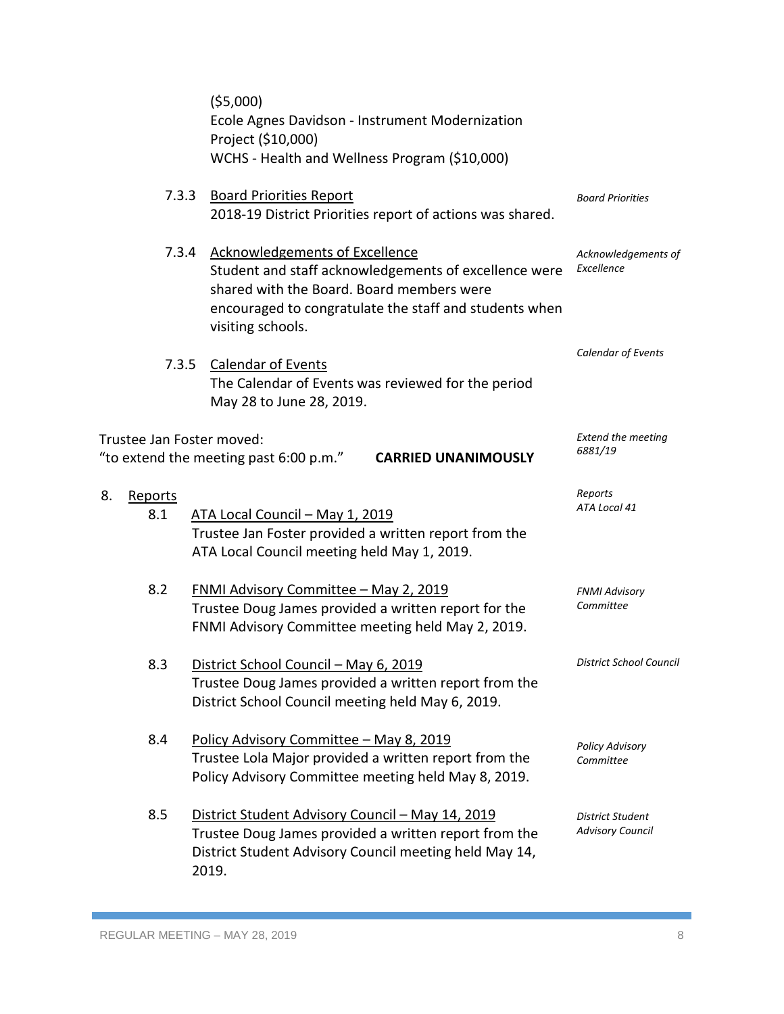| (55,000)<br>Ecole Agnes Davidson - Instrument Modernization<br>Project (\$10,000)<br>WCHS - Health and Wellness Program (\$10,000) |                                                                                                                                                                                                                            |                                             |
|------------------------------------------------------------------------------------------------------------------------------------|----------------------------------------------------------------------------------------------------------------------------------------------------------------------------------------------------------------------------|---------------------------------------------|
| 7.3.3                                                                                                                              | <b>Board Priorities Report</b><br>2018-19 District Priorities report of actions was shared.                                                                                                                                | <b>Board Priorities</b>                     |
| 7.3.4                                                                                                                              | <b>Acknowledgements of Excellence</b><br>Student and staff acknowledgements of excellence were<br>shared with the Board. Board members were<br>encouraged to congratulate the staff and students when<br>visiting schools. | Acknowledgements of<br>Excellence           |
| 7.3.5                                                                                                                              | <b>Calendar of Events</b><br>The Calendar of Events was reviewed for the period<br>May 28 to June 28, 2019.                                                                                                                | Calendar of Events                          |
| Trustee Jan Foster moved:<br>"to extend the meeting past 6:00 p.m."<br><b>CARRIED UNANIMOUSLY</b>                                  |                                                                                                                                                                                                                            | <b>Extend the meeting</b><br>6881/19        |
| 8.<br><b>Reports</b><br>8.1                                                                                                        | ATA Local Council - May 1, 2019<br>Trustee Jan Foster provided a written report from the<br>ATA Local Council meeting held May 1, 2019.                                                                                    | Reports<br>ATA Local 41                     |
| 8.2                                                                                                                                | <b>FNMI Advisory Committee - May 2, 2019</b><br>Trustee Doug James provided a written report for the<br>FNMI Advisory Committee meeting held May 2, 2019.                                                                  | <b>FNMI Advisory</b><br>Committee           |
| 8.3                                                                                                                                | District School Council - May 6, 2019<br>Trustee Doug James provided a written report from the<br>District School Council meeting held May 6, 2019.                                                                        | District School Council                     |
| 8.4                                                                                                                                | Policy Advisory Committee - May 8, 2019<br>Trustee Lola Major provided a written report from the<br>Policy Advisory Committee meeting held May 8, 2019.                                                                    | <b>Policy Advisory</b><br>Committee         |
| 8.5                                                                                                                                | District Student Advisory Council - May 14, 2019<br>Trustee Doug James provided a written report from the<br>District Student Advisory Council meeting held May 14,<br>2019.                                               | District Student<br><b>Advisory Council</b> |